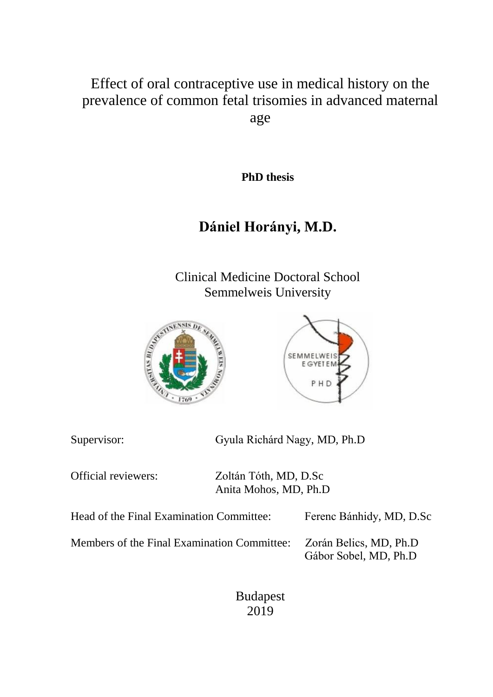Effect of oral contraceptive use in medical history on the prevalence of common fetal trisomies in advanced maternal age

**PhD thesis**

# **Dániel Horányi, M.D.**

Clinical Medicine Doctoral School Semmelweis University





Gyula Richárd Nagy, MD, Ph.D

Official reviewers: Zoltán Tóth, MD, D.Sc Anita Mohos, MD, Ph.D

| Head of the Final Examination Committee:    | Ferenc Bánhidy, MD, D.Sc |
|---------------------------------------------|--------------------------|
| Members of the Final Examination Committee: | Zorán Belics, MD, Ph.D   |
|                                             | Gábor Sobel, MD, Ph.D    |

Budapest 2019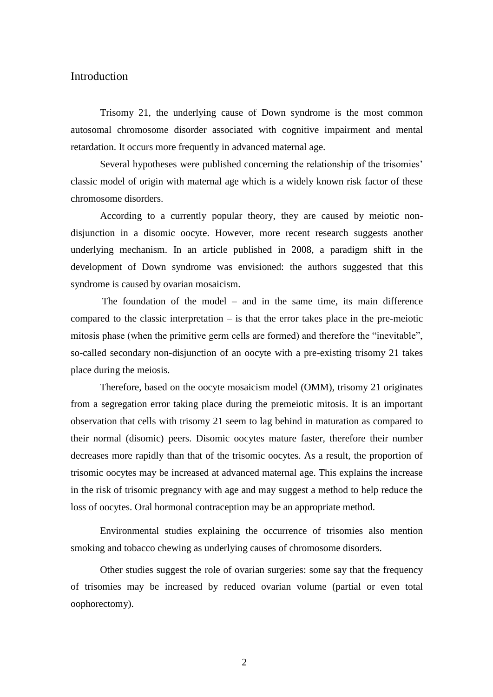#### Introduction

Trisomy 21, the underlying cause of Down syndrome is the most common autosomal chromosome disorder associated with cognitive impairment and mental retardation. It occurs more frequently in advanced maternal age.

Several hypotheses were published concerning the relationship of the trisomies' classic model of origin with maternal age which is a widely known risk factor of these chromosome disorders.

According to a currently popular theory, they are caused by meiotic nondisjunction in a disomic oocyte. However, more recent research suggests another underlying mechanism. In an article published in 2008, a paradigm shift in the development of Down syndrome was envisioned: the authors suggested that this syndrome is caused by ovarian mosaicism.

The foundation of the model – and in the same time, its main difference compared to the classic interpretation  $-$  is that the error takes place in the pre-meiotic mitosis phase (when the primitive germ cells are formed) and therefore the "inevitable", so-called secondary non-disjunction of an oocyte with a pre-existing trisomy 21 takes place during the meiosis.

Therefore, based on the oocyte mosaicism model (OMM), trisomy 21 originates from a segregation error taking place during the premeiotic mitosis. It is an important observation that cells with trisomy 21 seem to lag behind in maturation as compared to their normal (disomic) peers. Disomic oocytes mature faster, therefore their number decreases more rapidly than that of the trisomic oocytes. As a result, the proportion of trisomic oocytes may be increased at advanced maternal age. This explains the increase in the risk of trisomic pregnancy with age and may suggest a method to help reduce the loss of oocytes. Oral hormonal contraception may be an appropriate method.

Environmental studies explaining the occurrence of trisomies also mention smoking and tobacco chewing as underlying causes of chromosome disorders.

Other studies suggest the role of ovarian surgeries: some say that the frequency of trisomies may be increased by reduced ovarian volume (partial or even total oophorectomy).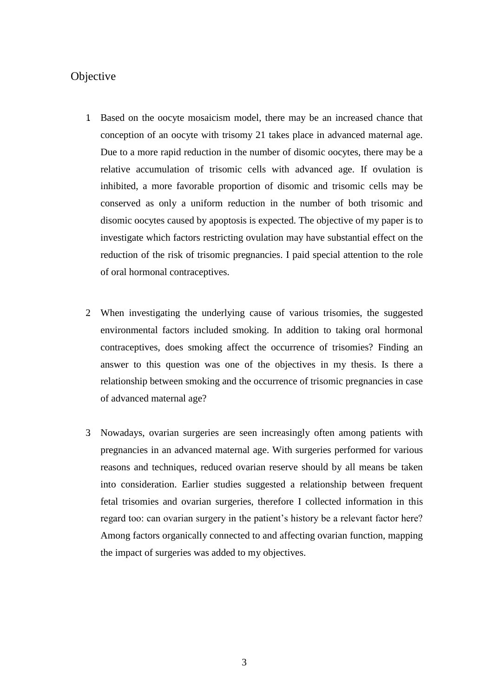# **Objective**

- 1. Based on the oocyte mosaicism model, there may be an increased chance that conception of an oocyte with trisomy 21 takes place in advanced maternal age. Due to a more rapid reduction in the number of disomic oocytes, there may be a relative accumulation of trisomic cells with advanced age. If ovulation is inhibited, a more favorable proportion of disomic and trisomic cells may be conserved as only a uniform reduction in the number of both trisomic and disomic oocytes caused by apoptosis is expected. The objective of my paper is to investigate which factors restricting ovulation may have substantial effect on the reduction of the risk of trisomic pregnancies. I paid special attention to the role of oral hormonal contraceptives.
- 2. When investigating the underlying cause of various trisomies, the suggested environmental factors included smoking. In addition to taking oral hormonal contraceptives, does smoking affect the occurrence of trisomies? Finding an answer to this question was one of the objectives in my thesis. Is there a relationship between smoking and the occurrence of trisomic pregnancies in case of advanced maternal age?
- 3. Nowadays, ovarian surgeries are seen increasingly often among patients with pregnancies in an advanced maternal age. With surgeries performed for various reasons and techniques, reduced ovarian reserve should by all means be taken into consideration. Earlier studies suggested a relationship between frequent fetal trisomies and ovarian surgeries, therefore I collected information in this regard too: can ovarian surgery in the patient's history be a relevant factor here? Among factors organically connected to and affecting ovarian function, mapping the impact of surgeries was added to my objectives.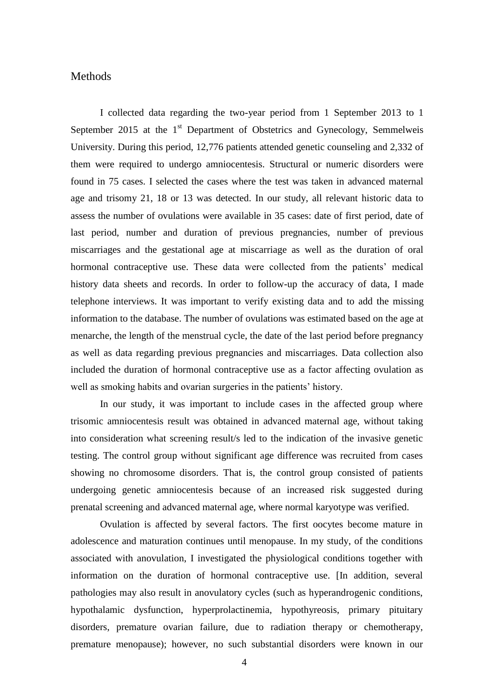# **Methods**

I collected data regarding the two-year period from 1 September 2013 to 1 September 2015 at the  $1<sup>st</sup>$  Department of Obstetrics and Gynecology, Semmelweis University. During this period, 12,776 patients attended genetic counseling and 2,332 of them were required to undergo amniocentesis. Structural or numeric disorders were found in 75 cases. I selected the cases where the test was taken in advanced maternal age and trisomy 21, 18 or 13 was detected. In our study, all relevant historic data to assess the number of ovulations were available in 35 cases: date of first period, date of last period, number and duration of previous pregnancies, number of previous miscarriages and the gestational age at miscarriage as well as the duration of oral hormonal contraceptive use. These data were collected from the patients' medical history data sheets and records. In order to follow-up the accuracy of data, I made telephone interviews. It was important to verify existing data and to add the missing information to the database. The number of ovulations was estimated based on the age at menarche, the length of the menstrual cycle, the date of the last period before pregnancy as well as data regarding previous pregnancies and miscarriages. Data collection also included the duration of hormonal contraceptive use as a factor affecting ovulation as well as smoking habits and ovarian surgeries in the patients' history.

In our study, it was important to include cases in the affected group where trisomic amniocentesis result was obtained in advanced maternal age, without taking into consideration what screening result/s led to the indication of the invasive genetic testing. The control group without significant age difference was recruited from cases showing no chromosome disorders. That is, the control group consisted of patients undergoing genetic amniocentesis because of an increased risk suggested during prenatal screening and advanced maternal age, where normal karyotype was verified.

Ovulation is affected by several factors. The first oocytes become mature in adolescence and maturation continues until menopause. In my study, of the conditions associated with anovulation, I investigated the physiological conditions together with information on the duration of hormonal contraceptive use. [In addition, several pathologies may also result in anovulatory cycles (such as hyperandrogenic conditions, hypothalamic dysfunction, hyperprolactinemia, hypothyreosis, primary pituitary disorders, premature ovarian failure, due to radiation therapy or chemotherapy, premature menopause); however, no such substantial disorders were known in our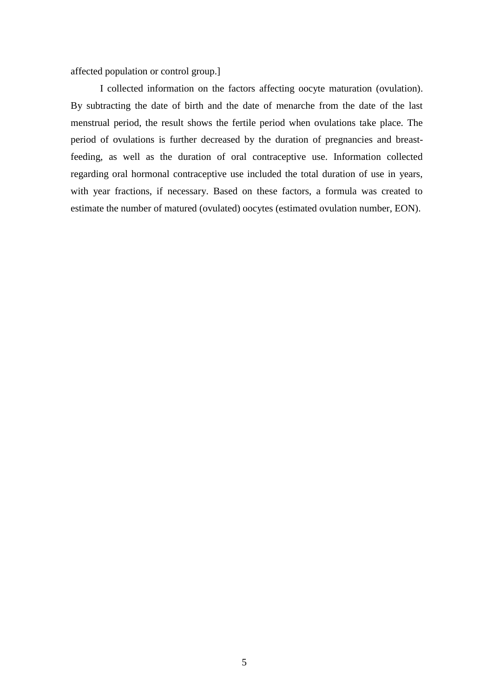affected population or control group.]

I collected information on the factors affecting oocyte maturation (ovulation). By subtracting the date of birth and the date of menarche from the date of the last menstrual period, the result shows the fertile period when ovulations take place. The period of ovulations is further decreased by the duration of pregnancies and breastfeeding, as well as the duration of oral contraceptive use. Information collected regarding oral hormonal contraceptive use included the total duration of use in years, with year fractions, if necessary. Based on these factors, a formula was created to estimate the number of matured (ovulated) oocytes (estimated ovulation number, EON).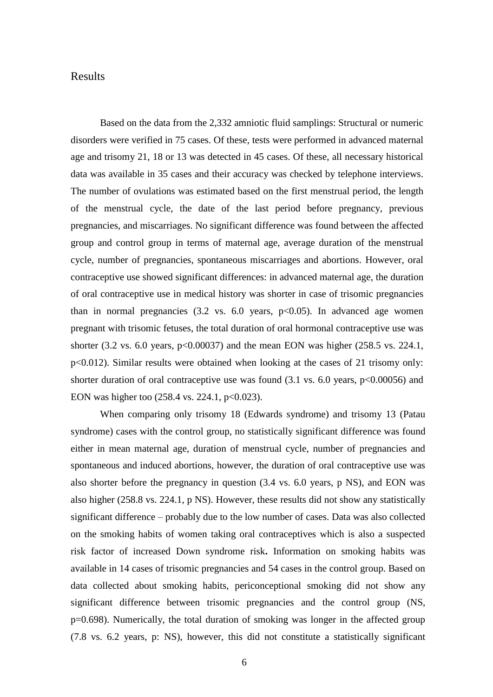# Results

Based on the data from the 2,332 amniotic fluid samplings: Structural or numeric disorders were verified in 75 cases. Of these, tests were performed in advanced maternal age and trisomy 21, 18 or 13 was detected in 45 cases. Of these, all necessary historical data was available in 35 cases and their accuracy was checked by telephone interviews. The number of ovulations was estimated based on the first menstrual period, the length of the menstrual cycle, the date of the last period before pregnancy, previous pregnancies, and miscarriages. No significant difference was found between the affected group and control group in terms of maternal age, average duration of the menstrual cycle, number of pregnancies, spontaneous miscarriages and abortions. However, oral contraceptive use showed significant differences: in advanced maternal age, the duration of oral contraceptive use in medical history was shorter in case of trisomic pregnancies than in normal pregnancies  $(3.2 \text{ vs. } 6.0 \text{ years}, \text{ p} < 0.05)$ . In advanced age women pregnant with trisomic fetuses, the total duration of oral hormonal contraceptive use was shorter  $(3.2 \text{ vs. } 6.0 \text{ years}, \text{p} < 0.00037)$  and the mean EON was higher  $(258.5 \text{ vs. } 224.1, \text{ m}$ p<0.012). Similar results were obtained when looking at the cases of 21 trisomy only: shorter duration of oral contraceptive use was found  $(3.1 \text{ vs. } 6.0 \text{ years}, \text{p} < 0.00056)$  and EON was higher too  $(258.4 \text{ vs. } 224.1, \text{ p} < 0.023)$ .

When comparing only trisomy 18 (Edwards syndrome) and trisomy 13 (Patau syndrome) cases with the control group, no statistically significant difference was found either in mean maternal age, duration of menstrual cycle, number of pregnancies and spontaneous and induced abortions, however, the duration of oral contraceptive use was also shorter before the pregnancy in question (3.4 vs. 6.0 years, p NS), and EON was also higher (258.8 vs. 224.1, p NS). However, these results did not show any statistically significant difference – probably due to the low number of cases. Data was also collected on the smoking habits of women taking oral contraceptives which is also a suspected risk factor of increased Down syndrome risk**.** Information on smoking habits was available in 14 cases of trisomic pregnancies and 54 cases in the control group. Based on data collected about smoking habits, periconceptional smoking did not show any significant difference between trisomic pregnancies and the control group (NS, p=0.698). Numerically, the total duration of smoking was longer in the affected group (7.8 vs. 6.2 years, p: NS), however, this did not constitute a statistically significant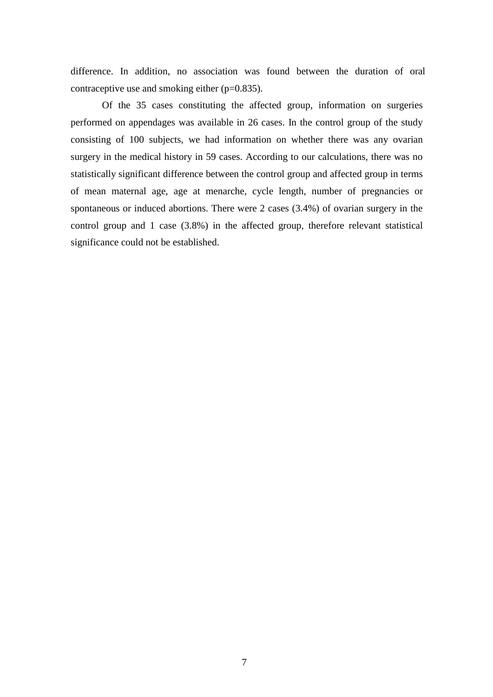difference. In addition, no association was found between the duration of oral contraceptive use and smoking either (p=0.835).

Of the 35 cases constituting the affected group, information on surgeries performed on appendages was available in 26 cases. In the control group of the study consisting of 100 subjects, we had information on whether there was any ovarian surgery in the medical history in 59 cases. According to our calculations, there was no statistically significant difference between the control group and affected group in terms of mean maternal age, age at menarche, cycle length, number of pregnancies or spontaneous or induced abortions. There were 2 cases (3.4%) of ovarian surgery in the control group and 1 case (3.8%) in the affected group, therefore relevant statistical significance could not be established.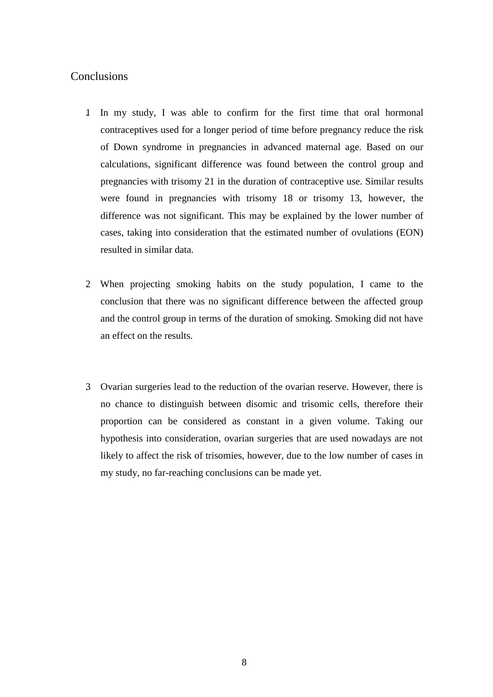# Conclusions

- 1. In my study, I was able to confirm for the first time that oral hormonal contraceptives used for a longer period of time before pregnancy reduce the risk of Down syndrome in pregnancies in advanced maternal age. Based on our calculations, significant difference was found between the control group and pregnancies with trisomy 21 in the duration of contraceptive use. Similar results were found in pregnancies with trisomy 18 or trisomy 13, however, the difference was not significant. This may be explained by the lower number of cases, taking into consideration that the estimated number of ovulations (EON) resulted in similar data.
- 2. When projecting smoking habits on the study population, I came to the conclusion that there was no significant difference between the affected group and the control group in terms of the duration of smoking. Smoking did not have an effect on the results.
- 3. Ovarian surgeries lead to the reduction of the ovarian reserve. However, there is no chance to distinguish between disomic and trisomic cells, therefore their proportion can be considered as constant in a given volume. Taking our hypothesis into consideration, ovarian surgeries that are used nowadays are not likely to affect the risk of trisomies, however, due to the low number of cases in my study, no far-reaching conclusions can be made yet.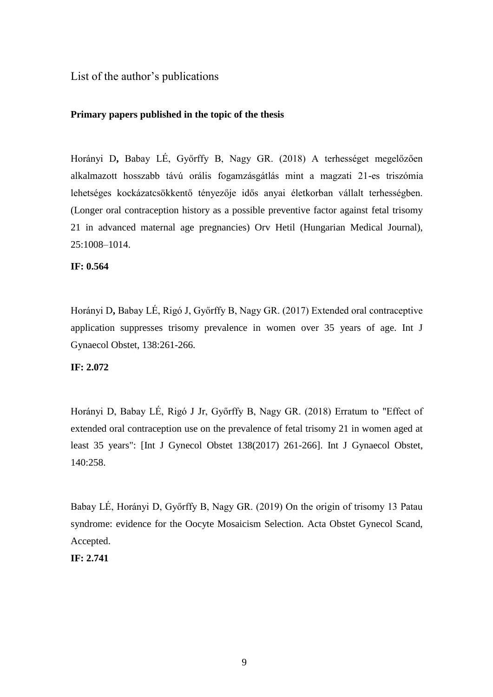List of the author's publications

# **Primary papers published in the topic of the thesis**

Horányi D**,** Babay LÉ, Győrffy B, Nagy GR. (2018) A terhességet megelőzően alkalmazott hosszabb távú orális fogamzásgátlás mint a magzati 21-es triszómia lehetséges kockázatcsökkentő tényezője idős anyai életkorban vállalt terhességben. (Longer oral contraception history as a possible preventive factor against fetal trisomy 21 in advanced maternal age pregnancies) Orv Hetil (Hungarian Medical Journal), 25:1008–1014.

# **IF: 0.564**

Horányi D**,** Babay LÉ, Rigó J, Győrffy B, Nagy GR. (2017) Extended oral contraceptive application suppresses trisomy prevalence in women over 35 years of age. Int J Gynaecol Obstet, 138:261-266.

# **IF: 2.072**

Horányi D, Babay LÉ, Rigó J Jr, Győrffy B, Nagy GR. (2018) Erratum to "Effect of extended oral contraception use on the prevalence of fetal trisomy 21 in women aged at least 35 years": [Int J Gynecol Obstet 138(2017) 261-266]. Int J Gynaecol Obstet, 140:258.

Babay LÉ, Horányi D, Győrffy B, Nagy GR. (2019) On the origin of trisomy 13 Patau syndrome: evidence for the Oocyte Mosaicism Selection. Acta Obstet Gynecol Scand, Accepted.

**IF: 2.741**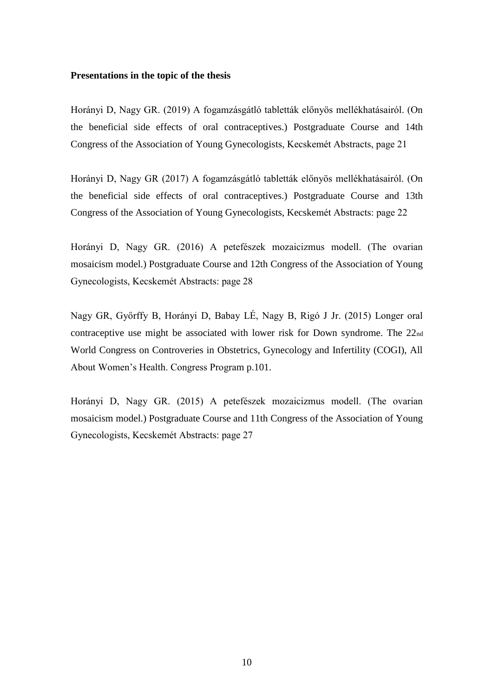#### **Presentations in the topic of the thesis**

Horányi D, Nagy GR. (2019) A fogamzásgátló tabletták előnyös mellékhatásairól. (On the beneficial side effects of oral contraceptives.) Postgraduate Course and 14th Congress of the Association of Young Gynecologists, Kecskemét Abstracts, page 21

Horányi D, Nagy GR (2017) A fogamzásgátló tabletták előnyös mellékhatásairól. (On the beneficial side effects of oral contraceptives.) Postgraduate Course and 13th Congress of the Association of Young Gynecologists, Kecskemét Abstracts: page 22

Horányi D, Nagy GR. (2016) A petefészek mozaicizmus modell. (The ovarian mosaicism model.) Postgraduate Course and 12th Congress of the Association of Young Gynecologists, Kecskemét Abstracts: page 28

Nagy GR, Győrffy B, Horányi D, Babay LÉ, Nagy B, Rigó J Jr. (2015) Longer oral contraceptive use might be associated with lower risk for Down syndrome. The 22nd World Congress on Controveries in Obstetrics, Gynecology and Infertility (COGI), All About Women's Health. Congress Program p.101.

Horányi D, Nagy GR. (2015) A petefészek mozaicizmus modell. (The ovarian mosaicism model.) Postgraduate Course and 11th Congress of the Association of Young Gynecologists, Kecskemét Abstracts: page 27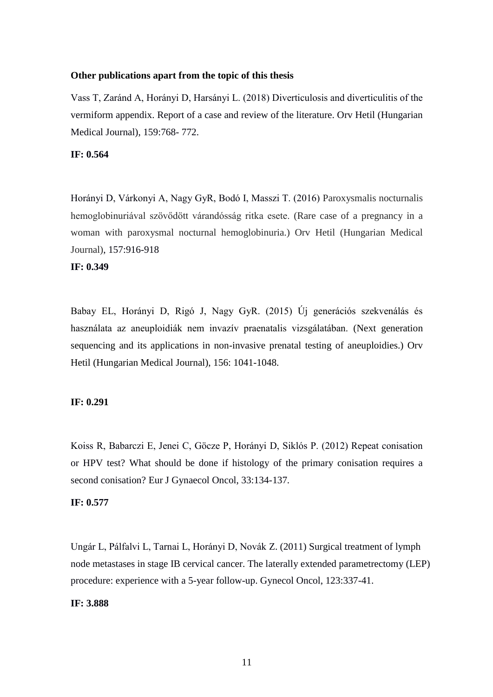#### **Other publications apart from the topic of this thesis**

Vass T, Zaránd A, Horányi D, Harsányi L. (2018) Diverticulosis and diverticulitis of the vermiform appendix. Report of a case and review of the literature. Orv Hetil (Hungarian Medical Journal), 159:768- 772.

# **IF: 0.564**

Horányi D, Várkonyi A, Nagy GyR, Bodó I, Masszi T. (2016) Paroxysmalis nocturnalis hemoglobinuriával szövődött várandósság ritka esete. (Rare case of a pregnancy in a woman with paroxysmal nocturnal hemoglobinuria.) Orv Hetil (Hungarian Medical Journal), 157:916-918

# **IF: 0.349**

Babay EL, Horányi D, Rigó J, Nagy GyR. (2015) Új generációs szekvenálás és használata az aneuploidiák nem invazív praenatalis vizsgálatában. (Next generation sequencing and its applications in non-invasive prenatal testing of aneuploidies.) Orv Hetil (Hungarian Medical Journal), 156: 1041-1048.

#### **IF: 0.291**

Koiss R, Babarczi E, Jenei C, Göcze P, Horányi D, Siklós P. (2012) Repeat conisation or HPV test? What should be done if histology of the primary conisation requires a second conisation? Eur J Gynaecol Oncol, 33:134-137*.*

# **IF: 0.577**

Ungár L, Pálfalvi L, Tarnai L, Horányi D, Novák Z. (2011) Surgical treatment of lymph node metastases in stage IB cervical cancer. The laterally extended parametrectomy (LEP) procedure: experience with a 5-year follow-up. Gynecol Oncol, 123:337-41.

# **IF: 3.888**